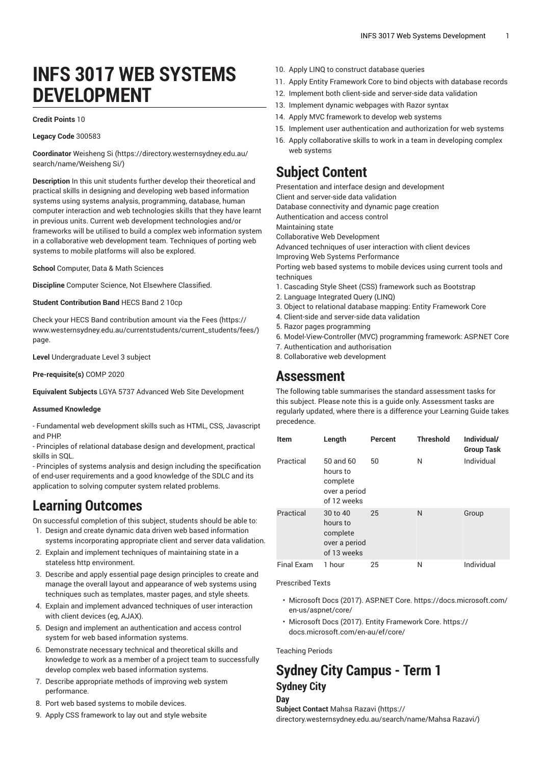# **INFS 3017 WEB SYSTEMS DEVELOPMENT**

#### **Credit Points** 10

#### **Legacy Code** 300583

**Coordinator** [Weisheng](https://directory.westernsydney.edu.au/search/name/Weisheng Si/) Si [\(https://directory.westernsydney.edu.au/](https://directory.westernsydney.edu.au/search/name/Weisheng Si/) [search/name/Weisheng](https://directory.westernsydney.edu.au/search/name/Weisheng Si/) Si/)

**Description** In this unit students further develop their theoretical and practical skills in designing and developing web based information systems using systems analysis, programming, database, human computer interaction and web technologies skills that they have learnt in previous units. Current web development technologies and/or frameworks will be utilised to build a complex web information system in a collaborative web development team. Techniques of porting web systems to mobile platforms will also be explored.

**School** Computer, Data & Math Sciences

**Discipline** Computer Science, Not Elsewhere Classified.

**Student Contribution Band** HECS Band 2 10cp

Check your HECS Band contribution amount via the [Fees \(https://](https://www.westernsydney.edu.au/currentstudents/current_students/fees/) [www.westernsydney.edu.au/currentstudents/current\\_students/fees/\)](https://www.westernsydney.edu.au/currentstudents/current_students/fees/) page.

**Level** Undergraduate Level 3 subject

**Pre-requisite(s)** [COMP 2020](/search/?P=COMP%202020)

**Equivalent Subjects** LGYA 5737 Advanced Web Site Development

#### **Assumed Knowledge**

- Fundamental web development skills such as HTML, CSS, Javascript and PHP.

- Principles of relational database design and development, practical skills in SQL.

- Principles of systems analysis and design including the specification of end-user requirements and a good knowledge of the SDLC and its application to solving computer system related problems.

## **Learning Outcomes**

On successful completion of this subject, students should be able to:

- 1. Design and create dynamic data driven web based information systems incorporating appropriate client and server data validation.
- 2. Explain and implement techniques of maintaining state in a stateless http environment.
- 3. Describe and apply essential page design principles to create and manage the overall layout and appearance of web systems using techniques such as templates, master pages, and style sheets.
- 4. Explain and implement advanced techniques of user interaction with client devices (eg, AJAX).
- 5. Design and implement an authentication and access control system for web based information systems.
- 6. Demonstrate necessary technical and theoretical skills and knowledge to work as a member of a project team to successfully develop complex web based information systems.
- 7. Describe appropriate methods of improving web system performance.
- 8. Port web based systems to mobile devices.
- 9. Apply CSS framework to lay out and style website
- 10. Apply LINQ to construct database queries
- 11. Apply Entity Framework Core to bind objects with database records
- 12. Implement both client-side and server-side data validation
- 13. Implement dynamic webpages with Razor syntax
- 14. Apply MVC framework to develop web systems
- 15. Implement user authentication and authorization for web systems
- 16. Apply collaborative skills to work in a team in developing complex web systems

## **Subject Content**

Presentation and interface design and development

Client and server-side data validation

Database connectivity and dynamic page creation

Authentication and access control

Maintaining state

Collaborative Web Development

Advanced techniques of user interaction with client devices

Improving Web Systems Performance

Porting web based systems to mobile devices using current tools and techniques

- 1. Cascading Style Sheet (CSS) framework such as Bootstrap
- 2. Language Integrated Query (LINQ)
- 3. Object to relational database mapping: Entity Framework Core
- 4. Client-side and server-side data validation
- 5. Razor pages programming
- 6. Model-View-Controller (MVC) programming framework: ASP.NET Core
- 7. Authentication and authorisation
- 8. Collaborative web development

### **Assessment**

The following table summarises the standard assessment tasks for this subject. Please note this is a guide only. Assessment tasks are regularly updated, where there is a difference your Learning Guide takes precedence.

| <b>Item</b>       | Length                                                            | Percent | <b>Threshold</b> | Individual/<br><b>Group Task</b> |
|-------------------|-------------------------------------------------------------------|---------|------------------|----------------------------------|
| Practical         | 50 and 60<br>hours to<br>complete<br>over a period<br>of 12 weeks | 50      | N                | Individual                       |
| Practical         | 30 to 40<br>hours to<br>complete<br>over a period<br>of 13 weeks  | 25      | N                | Group                            |
| <b>Final Exam</b> | 1 hour                                                            | 25      | Ν                | Individual                       |

Prescribed Texts

- Microsoft Docs (2017). ASP.NET Core. https://docs.microsoft.com/ en-us/aspnet/core/
- Microsoft Docs (2017). Entity Framework Core. https:// docs.microsoft.com/en-au/ef/core/

Teaching Periods

### **Sydney City Campus - Term 1 Sydney City Day**

**Subject Contact** [Mahsa](https://directory.westernsydney.edu.au/search/name/Mahsa Razavi/) Razavi ([https://](https://directory.westernsydney.edu.au/search/name/Mahsa Razavi/) [directory.westernsydney.edu.au/search/name/Mahsa](https://directory.westernsydney.edu.au/search/name/Mahsa Razavi/) Razavi/)